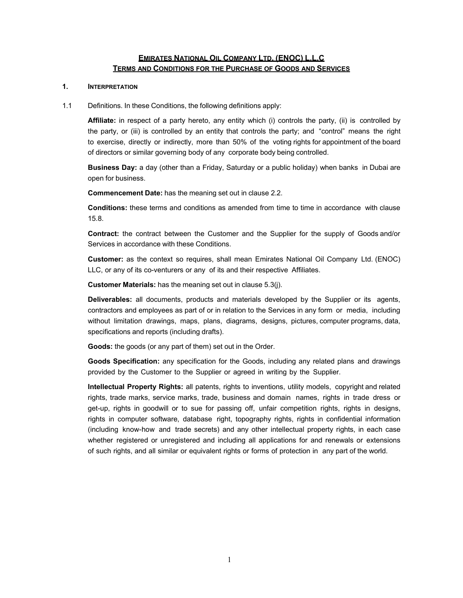# **EMIRATES NATIONAL OIL COMPANY LTD. (ENOC) L.L.C TERMS AND CONDITIONS FOR THE PURCHASE OF GOODS AND SERVICES**

### **1. INTERPRETATION**

1.1 Definitions. In these Conditions, the following definitions apply:

**Affiliate:** in respect of a party hereto, any entity which (i) controls the party, (ii) is controlled by the party, or (iii) is controlled by an entity that controls the party; and "control" means the right to exercise, directly or indirectly, more than 50% of the voting rights for appointment of the board of directors or similar governing body of any corporate body being controlled.

**Business Day:** a day (other than a Friday, Saturday or a public holiday) when banks in Dubai are open for business.

**Commencement Date:** has the meaning set out in clause 2.2.

**Conditions:** these terms and conditions as amended from time to time in accordance with clause 15.8.

**Contract:** the contract between the Customer and the Supplier for the supply of Goods and/or Services in accordance with these Conditions.

**Customer:** as the context so requires, shall mean Emirates National Oil Company Ltd. (ENOC) LLC, or any of its co-venturers or any of its and their respective Affiliates.

**Customer Materials:** has the meaning set out in clause 5.3(j).

**Deliverables:** all documents, products and materials developed by the Supplier or its agents, contractors and employees as part of or in relation to the Services in any form or media, including without limitation drawings, maps, plans, diagrams, designs, pictures, computer programs, data, specifications and reports (including drafts).

**Goods:** the goods (or any part of them) set out in the Order.

**Goods Specification:** any specification for the Goods, including any related plans and drawings provided by the Customer to the Supplier or agreed in writing by the Supplier.

**Intellectual Property Rights:** all patents, rights to inventions, utility models, copyright and related rights, trade marks, service marks, trade, business and domain names, rights in trade dress or get-up, rights in goodwill or to sue for passing off, unfair competition rights, rights in designs, rights in computer software, database right, topography rights, rights in confidential information (including know-how and trade secrets) and any other intellectual property rights, in each case whether registered or unregistered and including all applications for and renewals or extensions of such rights, and all similar or equivalent rights or forms of protection in any part of the world.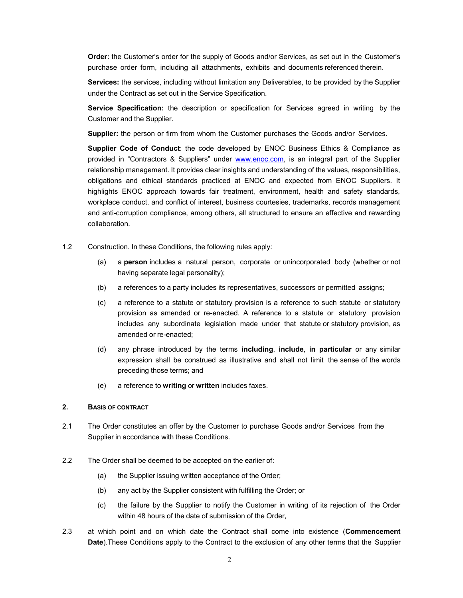**Order:** the Customer's order for the supply of Goods and/or Services, as set out in the Customer's purchase order form, including all attachments, exhibits and documents referenced therein.

**Services:** the services, including without limitation any Deliverables, to be provided by the Supplier under the Contract as set out in the Service Specification.

**Service Specification:** the description or specification for Services agreed in writing by the Customer and the Supplier.

**Supplier:** the person or firm from whom the Customer purchases the Goods and/or Services.

**Supplier Code of Conduct**: the code developed by ENOC Business Ethics & Compliance as provided in "Contractors & Suppliers" under www.enoc.com, is an integral part of the Supplier relationship management. It provides clear insights and understanding of the values, responsibilities, obligations and ethical standards practiced at ENOC and expected from ENOC Suppliers. It highlights ENOC approach towards fair treatment, environment, health and safety standards, workplace conduct, and conflict of interest, business courtesies, trademarks, records management and anti-corruption compliance, among others, all structured to ensure an effective and rewarding collaboration.

- 1.2 Construction. In these Conditions, the following rules apply:
	- (a) a **person** includes a natural person, corporate or unincorporated body (whether or not having separate legal personality);
	- (b) a references to a party includes its representatives, successors or permitted assigns;
	- (c) a reference to a statute or statutory provision is a reference to such statute or statutory provision as amended or re-enacted. A reference to a statute or statutory provision includes any subordinate legislation made under that statute or statutory provision, as amended or re-enacted;
	- (d) any phrase introduced by the terms **including**, **include**, **in particular** or any similar expression shall be construed as illustrative and shall not limit the sense of the words preceding those terms; and
	- (e) a reference to **writing** or **written** includes faxes.

# **2. BASIS OF CONTRACT**

- 2.1 The Order constitutes an offer by the Customer to purchase Goods and/or Services from the Supplier in accordance with these Conditions.
- 2.2 The Order shall be deemed to be accepted on the earlier of:
	- (a) the Supplier issuing written acceptance of the Order;
	- (b) any act by the Supplier consistent with fulfilling the Order; or
	- (c) the failure by the Supplier to notify the Customer in writing of its rejection of the Order within 48 hours of the date of submission of the Order,
- 2.3 at which point and on which date the Contract shall come into existence (**Commencement Date**).These Conditions apply to the Contract to the exclusion of any other terms that the Supplier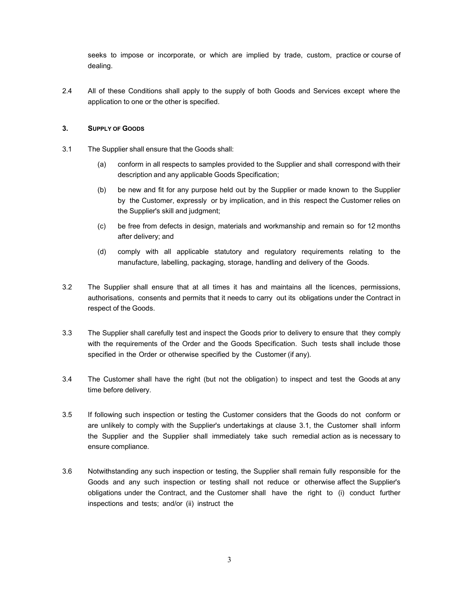seeks to impose or incorporate, or which are implied by trade, custom, practice or course of dealing.

2.4 All of these Conditions shall apply to the supply of both Goods and Services except where the application to one or the other is specified.

# **3. SUPPLY OF GOODS**

- 3.1 The Supplier shall ensure that the Goods shall:
	- (a) conform in all respects to samples provided to the Supplier and shall correspond with their description and any applicable Goods Specification;
	- (b) be new and fit for any purpose held out by the Supplier or made known to the Supplier by the Customer, expressly or by implication, and in this respect the Customer relies on the Supplier's skill and judgment;
	- (c) be free from defects in design, materials and workmanship and remain so for 12 months after delivery; and
	- (d) comply with all applicable statutory and regulatory requirements relating to the manufacture, labelling, packaging, storage, handling and delivery of the Goods.
- 3.2 The Supplier shall ensure that at all times it has and maintains all the licences, permissions, authorisations, consents and permits that it needs to carry out its obligations under the Contract in respect of the Goods.
- 3.3 The Supplier shall carefully test and inspect the Goods prior to delivery to ensure that they comply with the requirements of the Order and the Goods Specification. Such tests shall include those specified in the Order or otherwise specified by the Customer (if any).
- 3.4 The Customer shall have the right (but not the obligation) to inspect and test the Goods at any time before delivery.
- 3.5 If following such inspection or testing the Customer considers that the Goods do not conform or are unlikely to comply with the Supplier's undertakings at clause 3.1, the Customer shall inform the Supplier and the Supplier shall immediately take such remedial action as is necessary to ensure compliance.
- 3.6 Notwithstanding any such inspection or testing, the Supplier shall remain fully responsible for the Goods and any such inspection or testing shall not reduce or otherwise affect the Supplier's obligations under the Contract, and the Customer shall have the right to (i) conduct further inspections and tests; and/or (ii) instruct the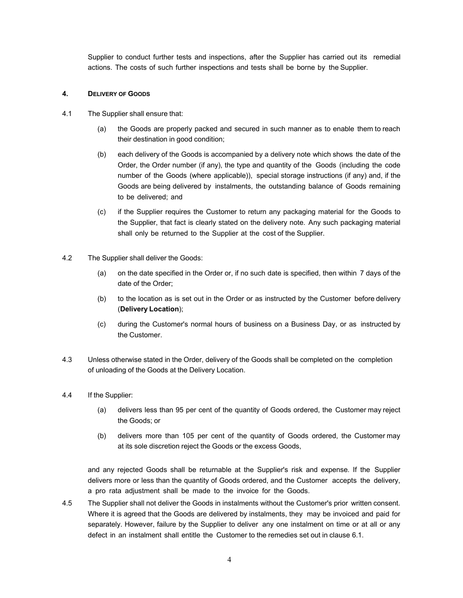Supplier to conduct further tests and inspections, after the Supplier has carried out its remedial actions. The costs of such further inspections and tests shall be borne by the Supplier.

### **4. DELIVERY OF GOODS**

- 4.1 The Supplier shall ensure that:
	- (a) the Goods are properly packed and secured in such manner as to enable them to reach their destination in good condition;
	- (b) each delivery of the Goods is accompanied by a delivery note which shows the date of the Order, the Order number (if any), the type and quantity of the Goods (including the code number of the Goods (where applicable)), special storage instructions (if any) and, if the Goods are being delivered by instalments, the outstanding balance of Goods remaining to be delivered; and
	- (c) if the Supplier requires the Customer to return any packaging material for the Goods to the Supplier, that fact is clearly stated on the delivery note. Any such packaging material shall only be returned to the Supplier at the cost of the Supplier.
- 4.2 The Supplier shall deliver the Goods:
	- (a) on the date specified in the Order or, if no such date is specified, then within 7 days of the date of the Order;
	- (b) to the location as is set out in the Order or as instructed by the Customer before delivery (**Delivery Location**);
	- (c) during the Customer's normal hours of business on a Business Day, or as instructed by the Customer.
- 4.3 Unless otherwise stated in the Order, delivery of the Goods shall be completed on the completion of unloading of the Goods at the Delivery Location.
- 4.4 If the Supplier:
	- (a) delivers less than 95 per cent of the quantity of Goods ordered, the Customer may reject the Goods; or
	- (b) delivers more than 105 per cent of the quantity of Goods ordered, the Customer may at its sole discretion reject the Goods or the excess Goods,

and any rejected Goods shall be returnable at the Supplier's risk and expense. If the Supplier delivers more or less than the quantity of Goods ordered, and the Customer accepts the delivery, a pro rata adjustment shall be made to the invoice for the Goods.

4.5 The Supplier shall not deliver the Goods in instalments without the Customer's prior written consent. Where it is agreed that the Goods are delivered by instalments, they may be invoiced and paid for separately. However, failure by the Supplier to deliver any one instalment on time or at all or any defect in an instalment shall entitle the Customer to the remedies set out in clause 6.1.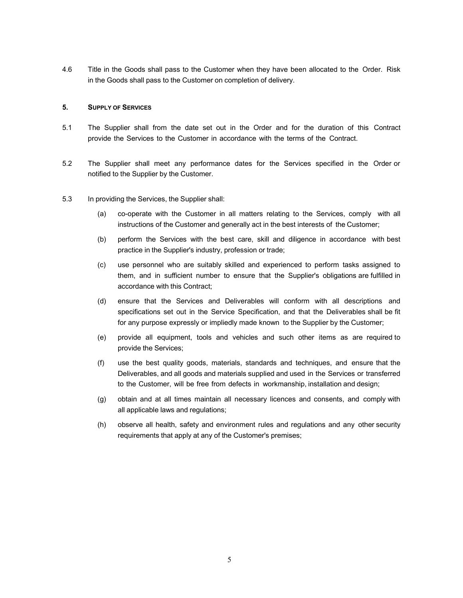4.6 Title in the Goods shall pass to the Customer when they have been allocated to the Order. Risk in the Goods shall pass to the Customer on completion of delivery.

# **5. SUPPLY OF SERVICES**

- 5.1 The Supplier shall from the date set out in the Order and for the duration of this Contract provide the Services to the Customer in accordance with the terms of the Contract.
- 5.2 The Supplier shall meet any performance dates for the Services specified in the Order or notified to the Supplier by the Customer.
- 5.3 In providing the Services, the Supplier shall:
	- (a) co-operate with the Customer in all matters relating to the Services, comply with all instructions of the Customer and generally act in the best interests of the Customer;
	- (b) perform the Services with the best care, skill and diligence in accordance with best practice in the Supplier's industry, profession or trade;
	- (c) use personnel who are suitably skilled and experienced to perform tasks assigned to them, and in sufficient number to ensure that the Supplier's obligations are fulfilled in accordance with this Contract;
	- (d) ensure that the Services and Deliverables will conform with all descriptions and specifications set out in the Service Specification, and that the Deliverables shall be fit for any purpose expressly or impliedly made known to the Supplier by the Customer;
	- (e) provide all equipment, tools and vehicles and such other items as are required to provide the Services;
	- (f) use the best quality goods, materials, standards and techniques, and ensure that the Deliverables, and all goods and materials supplied and used in the Services or transferred to the Customer, will be free from defects in workmanship, installation and design;
	- (g) obtain and at all times maintain all necessary licences and consents, and comply with all applicable laws and regulations;
	- (h) observe all health, safety and environment rules and regulations and any other security requirements that apply at any of the Customer's premises;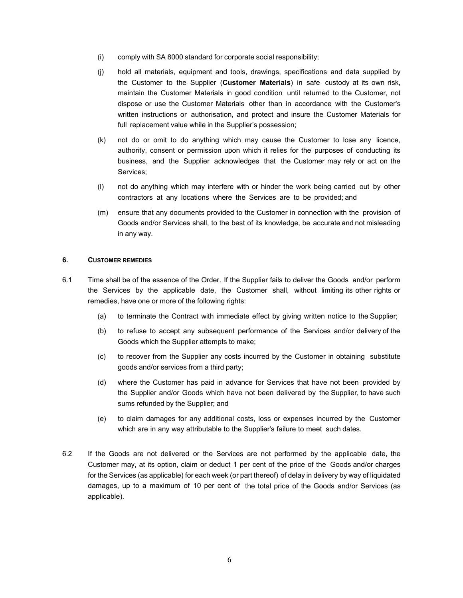- (i) comply with SA 8000 standard for corporate social responsibility;
- (j) hold all materials, equipment and tools, drawings, specifications and data supplied by the Customer to the Supplier (**Customer Materials**) in safe custody at its own risk, maintain the Customer Materials in good condition until returned to the Customer, not dispose or use the Customer Materials other than in accordance with the Customer's written instructions or authorisation, and protect and insure the Customer Materials for full replacement value while in the Supplier's possession;
- (k) not do or omit to do anything which may cause the Customer to lose any licence, authority, consent or permission upon which it relies for the purposes of conducting its business, and the Supplier acknowledges that the Customer may rely or act on the Services;
- (l) not do anything which may interfere with or hinder the work being carried out by other contractors at any locations where the Services are to be provided; and
- (m) ensure that any documents provided to the Customer in connection with the provision of Goods and/or Services shall, to the best of its knowledge, be accurate and not misleading in any way.

### **6. CUSTOMER REMEDIES**

- 6.1 Time shall be of the essence of the Order. If the Supplier fails to deliver the Goods and/or perform the Services by the applicable date, the Customer shall, without limiting its other rights or remedies, have one or more of the following rights:
	- (a) to terminate the Contract with immediate effect by giving written notice to the Supplier;
	- (b) to refuse to accept any subsequent performance of the Services and/or delivery of the Goods which the Supplier attempts to make;
	- (c) to recover from the Supplier any costs incurred by the Customer in obtaining substitute goods and/or services from a third party;
	- (d) where the Customer has paid in advance for Services that have not been provided by the Supplier and/or Goods which have not been delivered by the Supplier, to have such sums refunded by the Supplier; and
	- (e) to claim damages for any additional costs, loss or expenses incurred by the Customer which are in any way attributable to the Supplier's failure to meet such dates.
- 6.2 If the Goods are not delivered or the Services are not performed by the applicable date, the Customer may, at its option, claim or deduct 1 per cent of the price of the Goods and/or charges for the Services (as applicable) for each week (or part thereof) of delay in delivery by way of liquidated damages, up to a maximum of 10 per cent of the total price of the Goods and/or Services (as applicable).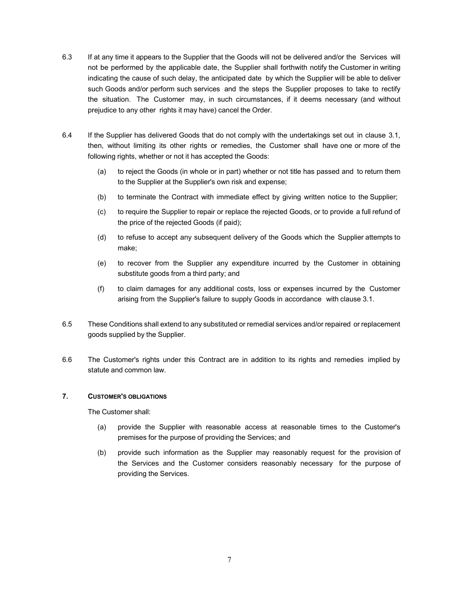- 6.3 If at any time it appears to the Supplier that the Goods will not be delivered and/or the Services will not be performed by the applicable date, the Supplier shall forthwith notify the Customer in writing indicating the cause of such delay, the anticipated date by which the Supplier will be able to deliver such Goods and/or perform such services and the steps the Supplier proposes to take to rectify the situation. The Customer may, in such circumstances, if it deems necessary (and without prejudice to any other rights it may have) cancel the Order.
- 6.4 If the Supplier has delivered Goods that do not comply with the undertakings set out in clause 3.1, then, without limiting its other rights or remedies, the Customer shall have one or more of the following rights, whether or not it has accepted the Goods:
	- (a) to reject the Goods (in whole or in part) whether or not title has passed and to return them to the Supplier at the Supplier's own risk and expense;
	- (b) to terminate the Contract with immediate effect by giving written notice to the Supplier;
	- (c) to require the Supplier to repair or replace the rejected Goods, or to provide a full refund of the price of the rejected Goods (if paid);
	- (d) to refuse to accept any subsequent delivery of the Goods which the Supplier attempts to make;
	- (e) to recover from the Supplier any expenditure incurred by the Customer in obtaining substitute goods from a third party; and
	- (f) to claim damages for any additional costs, loss or expenses incurred by the Customer arising from the Supplier's failure to supply Goods in accordance with clause 3.1.
- 6.5 These Conditions shall extend to any substituted or remedial services and/or repaired or replacement goods supplied by the Supplier.
- 6.6 The Customer's rights under this Contract are in addition to its rights and remedies implied by statute and common law.

# **7. CUSTOMER'S OBLIGATIONS**

The Customer shall:

- (a) provide the Supplier with reasonable access at reasonable times to the Customer's premises for the purpose of providing the Services; and
- (b) provide such information as the Supplier may reasonably request for the provision of the Services and the Customer considers reasonably necessary for the purpose of providing the Services.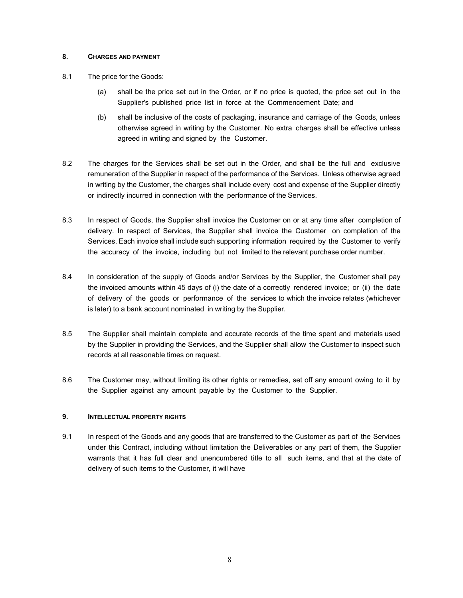# **8. CHARGES AND PAYMENT**

- 8.1 The price for the Goods:
	- (a) shall be the price set out in the Order, or if no price is quoted, the price set out in the Supplier's published price list in force at the Commencement Date; and
	- (b) shall be inclusive of the costs of packaging, insurance and carriage of the Goods, unless otherwise agreed in writing by the Customer. No extra charges shall be effective unless agreed in writing and signed by the Customer.
- 8.2 The charges for the Services shall be set out in the Order, and shall be the full and exclusive remuneration of the Supplier in respect of the performance of the Services. Unless otherwise agreed in writing by the Customer, the charges shall include every cost and expense of the Supplier directly or indirectly incurred in connection with the performance of the Services.
- 8.3 In respect of Goods, the Supplier shall invoice the Customer on or at any time after completion of delivery. In respect of Services, the Supplier shall invoice the Customer on completion of the Services. Each invoice shall include such supporting information required by the Customer to verify the accuracy of the invoice, including but not limited to the relevant purchase order number.
- 8.4 In consideration of the supply of Goods and/or Services by the Supplier, the Customer shall pay the invoiced amounts within 45 days of (i) the date of a correctly rendered invoice; or (ii) the date of delivery of the goods or performance of the services to which the invoice relates (whichever is later) to a bank account nominated in writing by the Supplier.
- 8.5 The Supplier shall maintain complete and accurate records of the time spent and materials used by the Supplier in providing the Services, and the Supplier shall allow the Customer to inspect such records at all reasonable times on request.
- 8.6 The Customer may, without limiting its other rights or remedies, set off any amount owing to it by the Supplier against any amount payable by the Customer to the Supplier.

# **9. INTELLECTUAL PROPERTY RIGHTS**

9.1 In respect of the Goods and any goods that are transferred to the Customer as part of the Services under this Contract, including without limitation the Deliverables or any part of them, the Supplier warrants that it has full clear and unencumbered title to all such items, and that at the date of delivery of such items to the Customer, it will have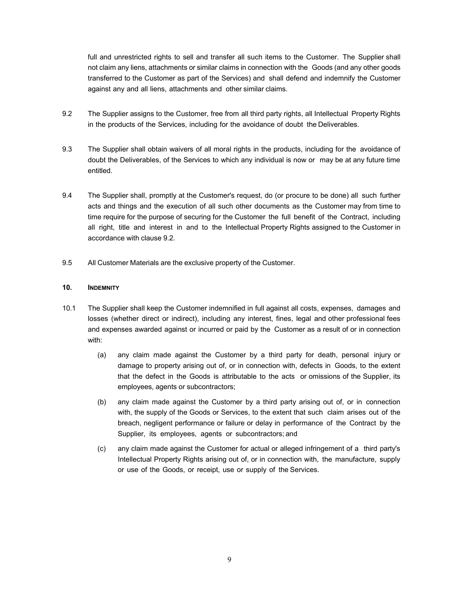full and unrestricted rights to sell and transfer all such items to the Customer. The Supplier shall not claim any liens, attachments or similar claims in connection with the Goods (and any other goods transferred to the Customer as part of the Services) and shall defend and indemnify the Customer against any and all liens, attachments and other similar claims.

- 9.2 The Supplier assigns to the Customer, free from all third party rights, all Intellectual Property Rights in the products of the Services, including for the avoidance of doubt the Deliverables.
- 9.3 The Supplier shall obtain waivers of all moral rights in the products, including for the avoidance of doubt the Deliverables, of the Services to which any individual is now or may be at any future time entitled.
- 9.4 The Supplier shall, promptly at the Customer's request, do (or procure to be done) all such further acts and things and the execution of all such other documents as the Customer may from time to time require for the purpose of securing for the Customer the full benefit of the Contract, including all right, title and interest in and to the Intellectual Property Rights assigned to the Customer in accordance with clause 9.2.
- 9.5 All Customer Materials are the exclusive property of the Customer.

# **10. INDEMNITY**

- 10.1 The Supplier shall keep the Customer indemnified in full against all costs, expenses, damages and losses (whether direct or indirect), including any interest, fines, legal and other professional fees and expenses awarded against or incurred or paid by the Customer as a result of or in connection with:
	- (a) any claim made against the Customer by a third party for death, personal injury or damage to property arising out of, or in connection with, defects in Goods, to the extent that the defect in the Goods is attributable to the acts or omissions of the Supplier, its employees, agents or subcontractors;
	- (b) any claim made against the Customer by a third party arising out of, or in connection with, the supply of the Goods or Services, to the extent that such claim arises out of the breach, negligent performance or failure or delay in performance of the Contract by the Supplier, its employees, agents or subcontractors; and
	- (c) any claim made against the Customer for actual or alleged infringement of a third party's Intellectual Property Rights arising out of, or in connection with, the manufacture, supply or use of the Goods, or receipt, use or supply of the Services.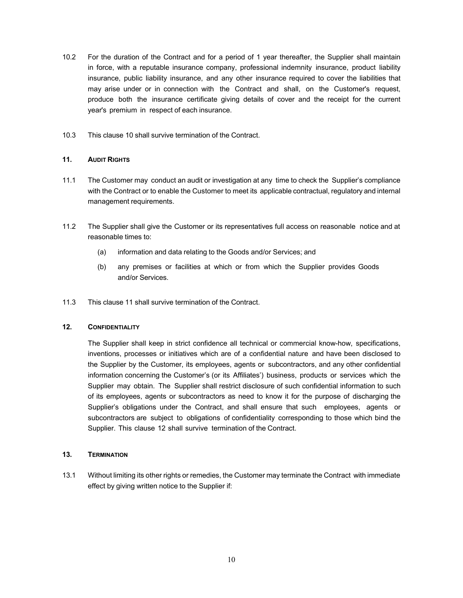- 10.2 For the duration of the Contract and for a period of 1 year thereafter, the Supplier shall maintain in force, with a reputable insurance company, professional indemnity insurance, product liability insurance, public liability insurance, and any other insurance required to cover the liabilities that may arise under or in connection with the Contract and shall, on the Customer's request, produce both the insurance certificate giving details of cover and the receipt for the current year's premium in respect of each insurance.
- 10.3 This clause 10 shall survive termination of the Contract.

# **11. AUDIT RIGHTS**

- 11.1 The Customer may conduct an audit or investigation at any time to check the Supplier's compliance with the Contract or to enable the Customer to meet its applicable contractual, regulatory and internal management requirements.
- 11.2 The Supplier shall give the Customer or its representatives full access on reasonable notice and at reasonable times to:
	- (a) information and data relating to the Goods and/or Services; and
	- (b) any premises or facilities at which or from which the Supplier provides Goods and/or Services.
- 11.3 This clause 11 shall survive termination of the Contract.

#### **12. CONFIDENTIALITY**

The Supplier shall keep in strict confidence all technical or commercial know-how, specifications, inventions, processes or initiatives which are of a confidential nature and have been disclosed to the Supplier by the Customer, its employees, agents or subcontractors, and any other confidential information concerning the Customer's (or its Affiliates') business, products or services which the Supplier may obtain. The Supplier shall restrict disclosure of such confidential information to such of its employees, agents or subcontractors as need to know it for the purpose of discharging the Supplier's obligations under the Contract, and shall ensure that such employees, agents or subcontractors are subject to obligations of confidentiality corresponding to those which bind the Supplier. This clause 12 shall survive termination of the Contract.

#### **13. TERMINATION**

13.1 Without limiting its other rights or remedies, the Customer may terminate the Contract with immediate effect by giving written notice to the Supplier if: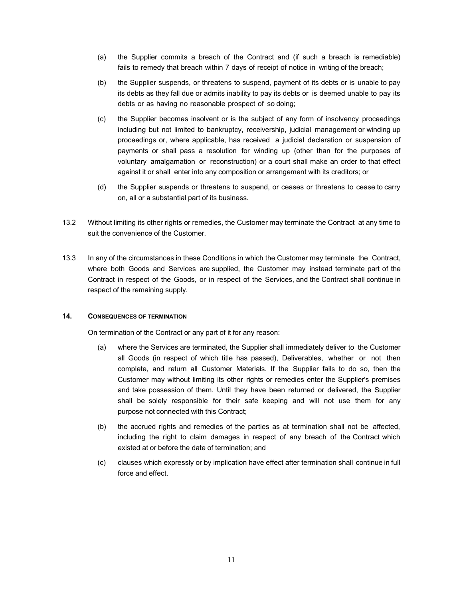- (a) the Supplier commits a breach of the Contract and (if such a breach is remediable) fails to remedy that breach within 7 days of receipt of notice in writing of the breach;
- (b) the Supplier suspends, or threatens to suspend, payment of its debts or is unable to pay its debts as they fall due or admits inability to pay its debts or is deemed unable to pay its debts or as having no reasonable prospect of so doing;
- (c) the Supplier becomes insolvent or is the subject of any form of insolvency proceedings including but not limited to bankruptcy, receivership, judicial management or winding up proceedings or, where applicable, has received a judicial declaration or suspension of payments or shall pass a resolution for winding up (other than for the purposes of voluntary amalgamation or reconstruction) or a court shall make an order to that effect against it or shall enter into any composition or arrangement with its creditors; or
- (d) the Supplier suspends or threatens to suspend, or ceases or threatens to cease to carry on, all or a substantial part of its business.
- 13.2 Without limiting its other rights or remedies, the Customer may terminate the Contract at any time to suit the convenience of the Customer.
- 13.3 In any of the circumstances in these Conditions in which the Customer may terminate the Contract, where both Goods and Services are supplied, the Customer may instead terminate part of the Contract in respect of the Goods, or in respect of the Services, and the Contract shall continue in respect of the remaining supply.

# **14. CONSEQUENCES OF TERMINATION**

On termination of the Contract or any part of it for any reason:

- (a) where the Services are terminated, the Supplier shall immediately deliver to the Customer all Goods (in respect of which title has passed), Deliverables, whether or not then complete, and return all Customer Materials. If the Supplier fails to do so, then the Customer may without limiting its other rights or remedies enter the Supplier's premises and take possession of them. Until they have been returned or delivered, the Supplier shall be solely responsible for their safe keeping and will not use them for any purpose not connected with this Contract;
- (b) the accrued rights and remedies of the parties as at termination shall not be affected, including the right to claim damages in respect of any breach of the Contract which existed at or before the date of termination; and
- (c) clauses which expressly or by implication have effect after termination shall continue in full force and effect.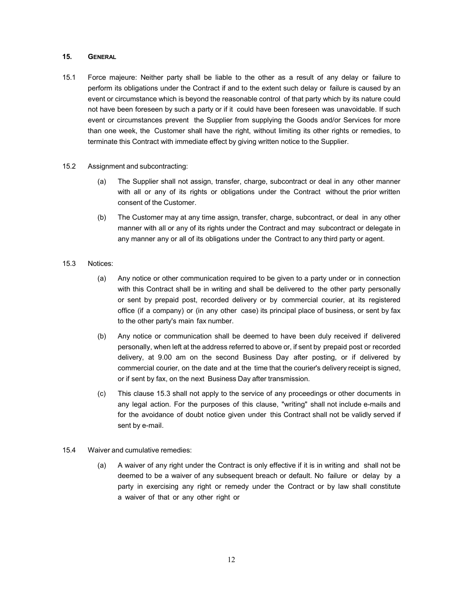## **15. GENERAL**

- 15.1 Force majeure: Neither party shall be liable to the other as a result of any delay or failure to perform its obligations under the Contract if and to the extent such delay or failure is caused by an event or circumstance which is beyond the reasonable control of that party which by its nature could not have been foreseen by such a party or if it could have been foreseen was unavoidable. If such event or circumstances prevent the Supplier from supplying the Goods and/or Services for more than one week, the Customer shall have the right, without limiting its other rights or remedies, to terminate this Contract with immediate effect by giving written notice to the Supplier.
- 15.2 Assignment and subcontracting:
	- (a) The Supplier shall not assign, transfer, charge, subcontract or deal in any other manner with all or any of its rights or obligations under the Contract without the prior written consent of the Customer.
	- (b) The Customer may at any time assign, transfer, charge, subcontract, or deal in any other manner with all or any of its rights under the Contract and may subcontract or delegate in any manner any or all of its obligations under the Contract to any third party or agent.
- 15.3 Notices:
	- (a) Any notice or other communication required to be given to a party under or in connection with this Contract shall be in writing and shall be delivered to the other party personally or sent by prepaid post, recorded delivery or by commercial courier, at its registered office (if a company) or (in any other case) its principal place of business, or sent by fax to the other party's main fax number.
	- (b) Any notice or communication shall be deemed to have been duly received if delivered personally, when left at the address referred to above or, if sent by prepaid post or recorded delivery, at 9.00 am on the second Business Day after posting, or if delivered by commercial courier, on the date and at the time that the courier's delivery receipt is signed, or if sent by fax, on the next Business Day after transmission.
	- (c) This clause 15.3 shall not apply to the service of any proceedings or other documents in any legal action. For the purposes of this clause, "writing" shall not include e-mails and for the avoidance of doubt notice given under this Contract shall not be validly served if sent by e-mail.
- 15.4 Waiver and cumulative remedies:
	- (a) A waiver of any right under the Contract is only effective if it is in writing and shall not be deemed to be a waiver of any subsequent breach or default. No failure or delay by a party in exercising any right or remedy under the Contract or by law shall constitute a waiver of that or any other right or